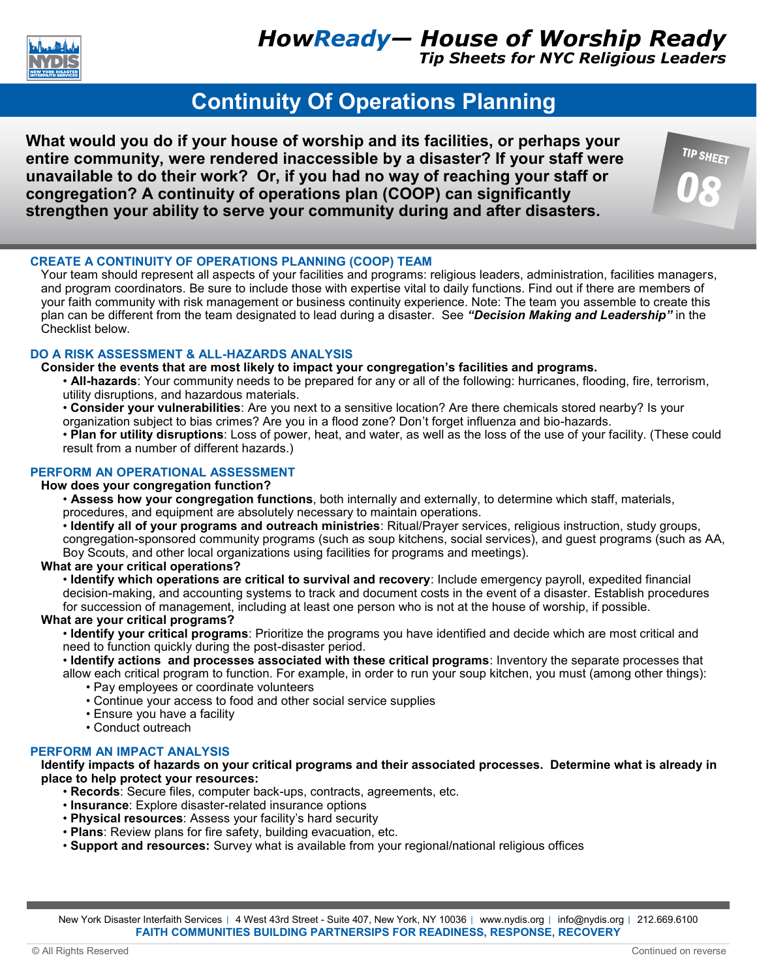

*Tip Sheets for NYC Religious Leaders*

**TIP SHEET** 

# **Continuity Of Operations Planning**

**What would you do if your house of worship and its facilities, or perhaps your entire community, were rendered inaccessible by a disaster? If your staff were unavailable to do their work? Or, if you had no way of reaching your staff or congregation? A continuity of operations plan (COOP) can significantly strengthen your ability to serve your community during and after disasters.** 



Your team should represent all aspects of your facilities and programs: religious leaders, administration, facilities managers, and program coordinators. Be sure to include those with expertise vital to daily functions. Find out if there are members of your faith community with risk management or business continuity experience. Note: The team you assemble to create this plan can be different from the team designated to lead during a disaster. See *"Decision Making and Leadership"* in the Checklist below.

# **DO A RISK ASSESSMENT & ALL-HAZARDS ANALYSIS**

### **Consider the events that are most likely to impact your congregation's facilities and programs.**

• **All-hazards**: Your community needs to be prepared for any or all of the following: hurricanes, flooding, fire, terrorism, utility disruptions, and hazardous materials.

• **Consider your vulnerabilities**: Are you next to a sensitive location? Are there chemicals stored nearby? Is your organization subject to bias crimes? Are you in a flood zone? Don't forget influenza and bio-hazards.

• **Plan for utility disruptions**: Loss of power, heat, and water, as well as the loss of the use of your facility. (These could result from a number of different hazards.)

# **PERFORM AN OPERATIONAL ASSESSMENT**

### **How does your congregation function?**

• **Assess how your congregation functions**, both internally and externally, to determine which staff, materials, procedures, and equipment are absolutely necessary to maintain operations.

• **Identify all of your programs and outreach ministries**: Ritual/Prayer services, religious instruction, study groups, congregation-sponsored community programs (such as soup kitchens, social services), and guest programs (such as AA, Boy Scouts, and other local organizations using facilities for programs and meetings).

# **What are your critical operations?**

• **Identify which operations are critical to survival and recovery**: Include emergency payroll, expedited financial decision-making, and accounting systems to track and document costs in the event of a disaster. Establish procedures for succession of management, including at least one person who is not at the house of worship, if possible.

### **What are your critical programs?**

• **Identify your critical programs**: Prioritize the programs you have identified and decide which are most critical and need to function quickly during the post-disaster period.

• **Identify actions and processes associated with these critical programs**: Inventory the separate processes that

allow each critical program to function. For example, in order to run your soup kitchen, you must (among other things): • Pay employees or coordinate volunteers

- Continue your access to food and other social service supplies
- Ensure you have a facility
- Conduct outreach

# **PERFORM AN IMPACT ANALYSIS**

**Identify impacts of hazards on your critical programs and their associated processes. Determine what is already in place to help protect your resources:**

- **Records**: Secure files, computer back-ups, contracts, agreements, etc.
- **Insurance**: Explore disaster-related insurance options
- **Physical resources**: Assess your facility's hard security
- **Plans**: Review plans for fire safety, building evacuation, etc.
- **Support and resources:** Survey what is available from your regional/national religious offices

New York Disaster Interfaith Services | 4 West 43rd Street - Suite 407, New York, NY 10036 | www.nydis.org | info@nydis.org | 212.669.6100 **FAITH COMMUNITIES BUILDING PARTNERSIPS FOR READINESS, RESPONSE, RECOVERY**